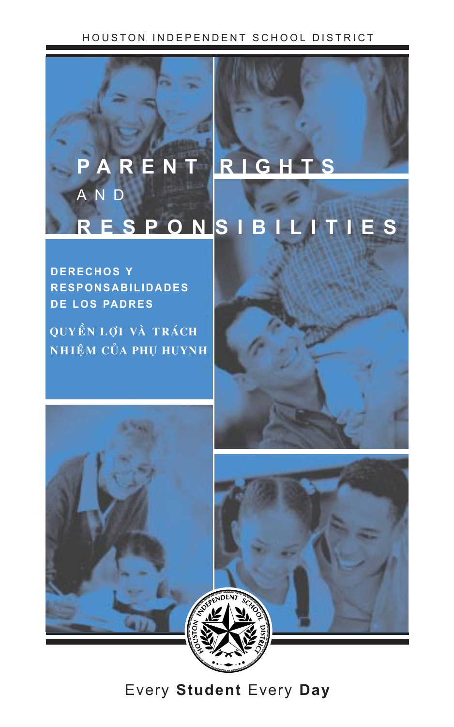## HOUSTON INDEPENDENT SCHOOL DISTRICT



**DERECHOS Y RESPONSABILIDADES DE LOS PADRES**

QUYỀN LỢI VÀ TRÁCH **NHIỆM CỦA PHỤ HUYNH** 



Every **Student** Every **Day**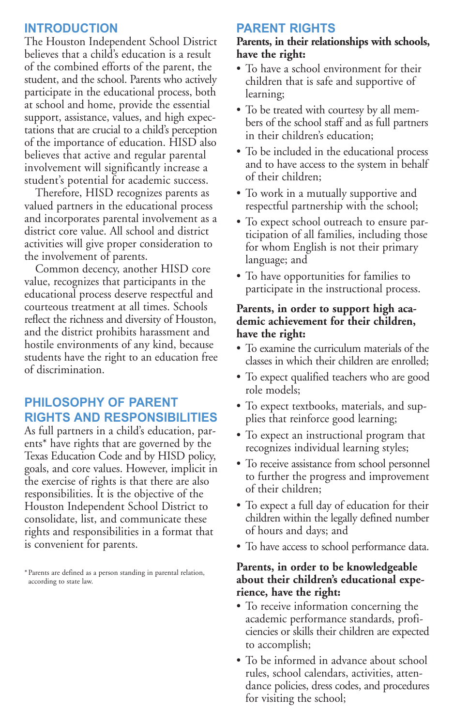## **INTRODUCTION**

The Houston Independent School District believes that a child's education is a result of the combined efforts of the parent, the student, and the school. Parents who actively participate in the educational process, both at school and home, provide the essential support, assistance, values, and high expectations that are crucial to a child's perception of the importance of education. HISD also believes that active and regular parental involvement will significantly increase a student's potential for academic success.

Therefore, HISD recognizes parents as valued partners in the educational process and incorporates parental involvement as a district core value. All school and district activities will give proper consideration to the involvement of parents.

Common decency, another HISD core value, recognizes that participants in the educational process deserve respectful and courteous treatment at all times. Schools reflect the richness and diversity of Houston, and the district prohibits harassment and hostile environments of any kind, because students have the right to an education free of discrimination.

# **PHILOSOPHY OF PARENT RIGHTS AND RESPONSIBILITIES**

As full partners in a child's education, parents\* have rights that are governed by the Texas Education Code and by HISD policy, goals, and core values. However, implicit in the exercise of rights is that there are also responsibilities. It is the objective of the Houston Independent School District to consolidate, list, and communicate these rights and responsibilities in a format that is convenient for parents.

\*Parents are defined as a person standing in parental relation, according to state law.

## **PARENT RIGHTS**

### **Parents, in their relationships with schools, have the right:**

- To have a school environment for their children that is safe and supportive of learning;
- To be treated with courtesy by all members of the school staff and as full partners in their children's education;
- To be included in the educational process and to have access to the system in behalf of their children;
- To work in a mutually supportive and respectful partnership with the school;
- To expect school outreach to ensure participation of all families, including those for whom English is not their primary language; and
- To have opportunities for families to participate in the instructional process.

## **Parents, in order to support high academic achievement for their children, have the right:**

- To examine the curriculum materials of the classes in which their children are enrolled;
- To expect qualified teachers who are good role models;
- To expect textbooks, materials, and supplies that reinforce good learning;
- To expect an instructional program that recognizes individual learning styles;
- To receive assistance from school personnel to further the progress and improvement of their children;
- To expect a full day of education for their children within the legally defined number of hours and days; and
- To have access to school performance data.

### **Parents, in order to be knowledgeable about their children's educational experience, have the right:**

- To receive information concerning the academic performance standards, proficiencies or skills their children are expected to accomplish;
- To be informed in advance about school rules, school calendars, activities, attendance policies, dress codes, and procedures for visiting the school;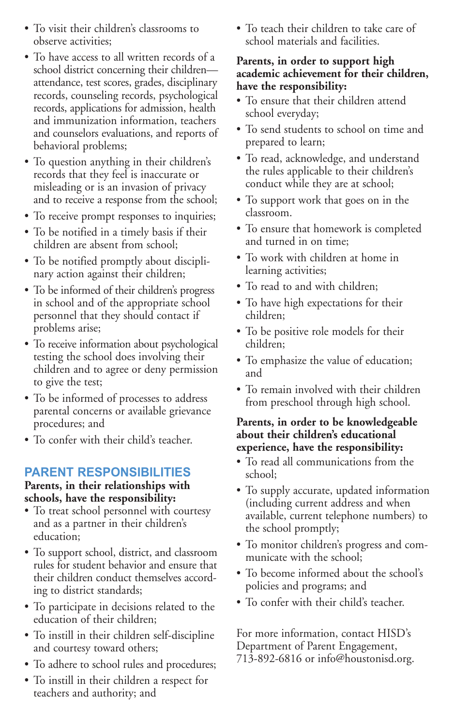- To visit their children's classrooms to observe activities;
- To have access to all written records of a school district concerning their children attendance, test scores, grades, disciplinary records, counseling records, psychological records, applications for admission, health and immunization information, teachers and counselors evaluations, and reports of behavioral problems;
- To question anything in their children's records that they feel is inaccurate or misleading or is an invasion of privacy and to receive a response from the school;
- To receive prompt responses to inquiries;
- To be notified in a timely basis if their children are absent from school;
- To be notified promptly about disciplinary action against their children;
- To be informed of their children's progress in school and of the appropriate school personnel that they should contact if problems arise;
- To receive information about psychological testing the school does involving their children and to agree or deny permission to give the test;
- To be informed of processes to address parental concerns or available grievance procedures; and
- To confer with their child's teacher.

# **PARENT RESPONSIBILITIES**

### **Parents, in their relationships with schools, have the responsibility:**

- To treat school personnel with courtesy and as a partner in their children's education;
- To support school, district, and classroom rules for student behavior and ensure that their children conduct themselves according to district standards;
- To participate in decisions related to the education of their children;
- To instill in their children self-discipline and courtesy toward others;
- To adhere to school rules and procedures;
- To instill in their children a respect for teachers and authority; and

• To teach their children to take care of school materials and facilities.

## **Parents, in order to support high academic achievement for their children, have the responsibility:**

- To ensure that their children attend school everyday;
- To send students to school on time and prepared to learn;
- To read, acknowledge, and understand the rules applicable to their children's conduct while they are at school;
- To support work that goes on in the classroom.
- To ensure that homework is completed and turned in on time;
- To work with children at home in learning activities;
- To read to and with children;
- To have high expectations for their children;
- To be positive role models for their children;
- To emphasize the value of education; and
- To remain involved with their children from preschool through high school.

## **Parents, in order to be knowledgeable about their children's educational experience, have the responsibility:**

- To read all communications from the school;
- To supply accurate, updated information (including current address and when available, current telephone numbers) to the school promptly;
- To monitor children's progress and communicate with the school;
- To become informed about the school's policies and programs; and
- To confer with their child's teacher.

For more information, contact HISD's Department of Parent Engagement, 713-892-6816 or info@houstonisd.org.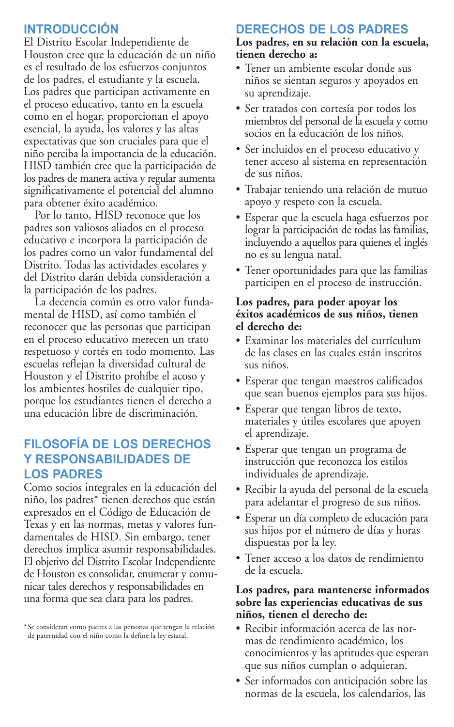# **INTRODUCCIÓN**

El Distrito Escolar Independiente de Houston cree que la educación de un niño es el resultado de los esfuerzos conjuntos de los padres, el estudiante y la escuela. Los padres que participan activamente en el proceso educativo, tanto en la escuela como en el hogar, proporcionan el apoyo esencial, la ayuda, los valores y las altas expectativas que son cruciales para que el niño perciba la importancia de la educación. HISD también cree que la participación de los padres de manera activa y regular aumenta significativamente el potencial del alumno para obtener éxito académico.

Por lo tanto, HISD reconoce que los padres son valiosos aliados en el proceso educativo e incorpora la participación de los padres como un valor fundamental del Distrito. Todas las actividades escolares y del Distrito darán debida consideración a la participación de los padres.

La decencia común es otro valor fundamental de HISD, así como también el reconocer que las personas que participan en el proceso educativo merecen un trato respetuoso y cortés en todo momento. Las escuelas reflejan la diversidad cultural de Houston y el Distrito prohíbe el acoso y los ambientes hostiles de cualquier tipo, porque los estudiantes tienen el derecho a una educación libre de discriminación.

# **FILOSOFÕA DE LOS DERECHOS Y RESPONSABILIDADES DE LOS PADRES**

Como socios integrales en la educación del niño, los padres\* tienen derechos que están expresados en el Código de Educación de Texas y en las normas, metas y valores fundamentales de HISD. Sin embargo, tener derechos implica asumir responsabilidades. El objetivo del Distrito Escolar Independiente de Houston es consolidar, enumerar y comunicar tales derechos y responsabilidades en una forma que sea clara para los padres.

\*Se consideran como padres a las personas que tengan la relación de paternidad con el niño como la define la ley estatal.

# **DERECHOS DE LOS PADRES**

### **Los padres, en su relación con la escuela, tienen derecho a:**

- Tener un ambiente escolar donde sus niños se sientan seguros y apoyados en su aprendizaje.
- Ser tratados con cortesía por todos los miembros del personal de la escuela y como socios en la educación de los niños.
- Ser incluidos en el proceso educativo y tener acceso al sistema en representación de sus niños.
- Trabajar teniendo una relación de mutuo apoyo y respeto con la escuela.
- Esperar que la escuela haga esfuerzos por lograr la participación de todas las familias, incluyendo a aquellos para quienes el inglés no es su lengua natal.
- Tener oportunidades para que las familias participen en el proceso de instrucción.

### **Los padres, para poder apoyar los éxitos académicos de sus niños, tienen el derecho de:**

- Examinar los materiales del currículum de las clases en las cuales están inscritos sus niños.
- Esperar que tengan maestros calificados que sean buenos ejemplos para sus hijos.
- Esperar que tengan libros de texto, materiales y útiles escolares que apoyen el aprendizaje.
- Esperar que tengan un programa de instrucción que reconozca los estilos individuales de aprendizaje.
- Recibir la ayuda del personal de la escuela para adelantar el progreso de sus niños.
- Esperar un día completo de educación para sus hijos por el número de días y horas dispuestas por la ley.
- Tener acceso a los datos de rendimiento de la escuela.

## **Los padres, para mantenerse informados sobre las experiencias educativas de sus niños, tienen el derecho de:**

- Recibir información acerca de las normas de rendimiento académico, los conocimientos y las aptitudes que esperan que sus niños cumplan o adquieran.
- Ser informados con anticipación sobre las normas de la escuela, los calendarios, las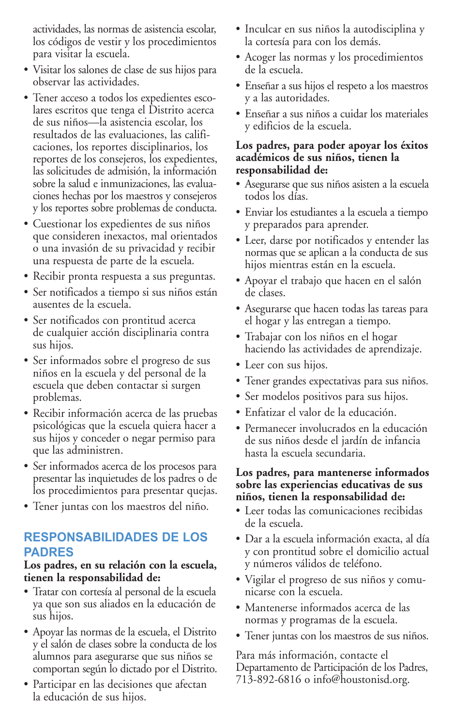actividades, las normas de asistencia escolar, los códigos de vestir y los procedimientos para visitar la escuela.

- Visitar los salones de clase de sus hijos para observar las actividades.
- Tener acceso a todos los expedientes escolares escritos que tenga el Distrito acerca de sus niños—la asistencia escolar, los resultados de las evaluaciones, las calificaciones, los reportes disciplinarios, los reportes de los consejeros, los expedientes, las solicitudes de admisión, la información sobre la salud e inmunizaciones, las evaluaciones hechas por los maestros y consejeros y los reportes sobre problemas de conducta.
- Cuestionar los expedientes de sus niños que consideren inexactos, mal orientados o una invasión de su privacidad y recibir una respuesta de parte de la escuela.
- Recibir pronta respuesta a sus preguntas.
- Ser notificados a tiempo si sus niños están ausentes de la escuela.
- Ser notificados con prontitud acerca de cualquier acción disciplinaria contra sus hijos.
- Ser informados sobre el progreso de sus niños en la escuela y del personal de la escuela que deben contactar si surgen problemas.
- Recibir información acerca de las pruebas psicológicas que la escuela quiera hacer a sus hijos y conceder o negar permiso para que las administren.
- Ser informados acerca de los procesos para presentar las inquietudes de los padres o de los procedimientos para presentar quejas.
- Tener juntas con los maestros del niño.

# **RESPONSABILIDADES DE LOS PADRES**

## **Los padres, en su relación con la escuela, tienen la responsabilidad de:**

- Tratar con cortesía al personal de la escuela ya que son sus aliados en la educación de sus hijos.
- Apoyar las normas de la escuela, el Distrito y el salón de clases sobre la conducta de los alumnos para asegurarse que sus niños se comportan según lo dictado por el Distrito.
- Participar en las decisiones que afectan la educación de sus hijos.
- Inculcar en sus niños la autodisciplina y la cortesía para con los demás.
- Acoger las normas y los procedimientos de la escuela.
- Enseñar a sus hijos el respeto a los maestros y a las autoridades.
- Enseñar a sus niños a cuidar los materiales y edificios de la escuela.

### **Los padres, para poder apoyar los éxitos académicos de sus niños, tienen la responsabilidad de:**

- Asegurarse que sus niños asisten a la escuela todos los días.
- Enviar los estudiantes a la escuela a tiempo y preparados para aprender.
- Leer, darse por notificados y entender las normas que se aplican a la conducta de sus hijos mientras están en la escuela.
- Apoyar el trabajo que hacen en el salón de clases.
- Asegurarse que hacen todas las tareas para el hogar y las entregan a tiempo.
- Trabajar con los niños en el hogar haciendo las actividades de aprendizaje.
- Leer con sus hijos.
- Tener grandes expectativas para sus niños.
- Ser modelos positivos para sus hijos.
- Enfatizar el valor de la educación.
- Permanecer involucrados en la educación de sus niños desde el jardín de infancia hasta la escuela secundaria.

## **Los padres, para mantenerse informados sobre las experiencias educativas de sus niños, tienen la responsabilidad de:**

- Leer todas las comunicaciones recibidas de la escuela.
- Dar a la escuela información exacta, al día y con prontitud sobre el domicilio actual y números válidos de teléfono.
- Vigilar el progreso de sus niños y comunicarse con la escuela.
- Mantenerse informados acerca de las normas y programas de la escuela.
- Tener juntas con los maestros de sus niños.

Para más información, contacte el Departamento de Participación de los Padres, 713-892-6816 o info@houstonisd.org.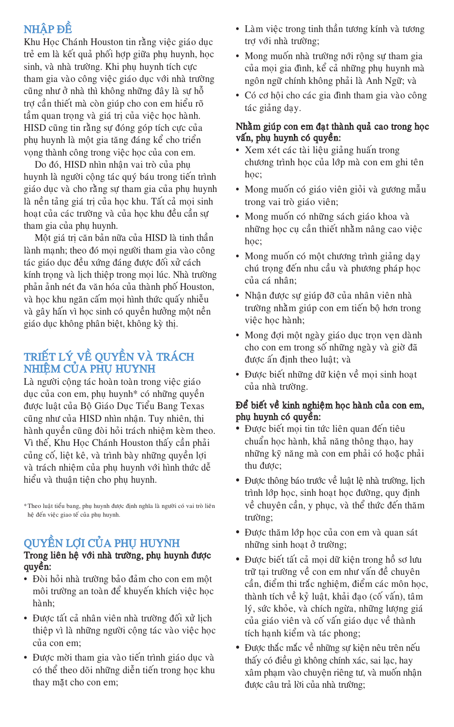# NHÂP ĐỀ

Khu Học Chánh Houston tin rằng việc giáo dục trẻ em là kết quả phối hợp giữa phu huynh, học sinh, và nhà trường. Khi phụ huynh tích cực tham gia vào công việc giáo duc với nhà trường cũng như ở nhà thì không những đây là sự hỗ trơ cần thiết mà còn giúp cho con em hiểu rõ tầm quan trong và giá trì của việc hoc hành. HISD cũng tin rằng sự đóng góp tích cực của phu huynh là môt gia tăng đáng kể cho triển vong thành công trong việc hoc của con em.

Do đó, HISD nhìn nhân vai trò của phu huynh là người công tác quý báu trong tiến trình giáo duc và cho rằng sự tham gia của phụ huynh là nền tảng giá trị của học khu. Tất cả mọi sinh hoạt của các trường và của học khu đều cần sự tham gia của phu huynh.

Một giá trị căn bản nữa của HISD là tinh thần lành manh; theo đó moi người tham gia vào công tác giáo duc đều xứng đáng được đối xử cách kính trọng và lịch thiệp trong mọi lúc. Nhà trường phản ảnh nét đa văn hóa của thành phố Houston, và học khu ngăn cấm mọi hình thức quấy nhiễu và gây hấn vì học sinh có quyền hưởng một nền giáo duc không phân biệt, không kỳ thì.

# TRIẾT LÝ VỀ QUYỀN VÀ TRÁCH NHIÊM CỦA PHU HUYNH

Là người cộng tác hoàn toàn trong việc giáo dục của con em, phụ huynh<sup>\*</sup> có những quyền được luật của Bô Giáo Duc Tiểu Bang Texas cũng như của HISD nhìn nhận. Tuy nhiên, thi hành quyền cũng đòi hỏi trách nhiệm kèm theo. Vì thế, Khu Hoc Chánh Houston thấy cần phải củng cố, liệt kê, và trình bày những quyền lơi và trách nhiêm của phu huynh với hình thức dễ hiểu và thuận tiện cho phụ huynh.

\* Theo luật tiểu bang, phụ huynh được định nghĩa là người có vai trò liên hệ đến việc giao tế của phụ huynh.

# QUYỀN LỢI CỦA PHỤ HUYNH

## Trong liên hệ với nhà trường, phụ huynh được quyền:

- Đòi hỏi nhà trường bảo đảm cho con em một môi trường an toàn để khuyến khích việc học hành:
- Được tất cả nhân viên nhà trường đối xử lịch thiệp vì là những người cộng tác vào việc học của con em;
- Được mời tham gia vào tiến trình giáo duc và có thể theo dõi những diễn tiến trong hoc khu thay mặt cho con em;
- Làm việc trong tinh thần tương kính và tương trợ với nhà trường;
- Mong muốn nhà trường nới rộng sự tham gia của mọi gia đình, kể cả những phụ huynh mà ngôn ngữ chính không phải là Anh Ngữ; và
- Có cơ hôi cho các gia đình tham gia vào công tác giảng day.

### Nhằm giúp con em đạt thành quả cao trong học vấn, phụ huynh có quyền:

- Xem xét các tài liệu giảng huấn trong chương trình học của lớp mà con em ghi tên hoc:
- Mong muốn có giáo viên giỏi và gương mẫu trong vai trò giáo viên;
- Mong muốn có những sách giáo khoa và những hoc cu cần thiết nhằm nâng cao việc hoc:
- Mong muốn có một chương trình giảng day chú trọng đến nhu cầu và phương pháp học của cá nhân:
- Nhân được sự giúp đỡ của nhân viên nhà trường nhằm giúp con em tiến bộ hơn trong việc học hành;
- Mong đợi một ngày giáo dục trọn vẹn dành cho con em trong số những ngày và giờ đã được ấn định theo luật; và
- Được biết những dữ kiện về moi sinh hoat của nhà trường.

### Để biết về kinh nghiệm học hành của con em, phụ huynh có quyền:

- Được biết mọi tin tức liên quan đến tiêu chuẩn học hành, khả năng thông thạo, hay những kỹ năng mà con em phải có hoặc phải thu được:
- Được thông báo trước về luật lê nhà trường, lịch trình lớp học, sinh hoạt học đường, quy định về chuyên cần, y phục, và thể thức đến thăm trường;
- Được thăm lớp học của con em và quan sát những sinh hoat ở trường;
- Được biết tất cả mọi dữ kiện trong hồ sơ lưu trữ tại trường về con em như vấn đề chuyên cần, điểm thi trắc nghiệm, điểm các môn học, thành tích về kỷ luật, khải đao (cố vấn), tâm lý, sức khỏe, và chích ngừa, những lương giá của giáo viên và cố vấn giáo dục về thành tích hanh kiểm và tác phong;
- · Được thắc mắc về những sự kiện nêu trên nếu thấy có điều gì không chính xác, sai lạc, hay xâm phạm vào chuyện riêng tư, và muốn nhận được câu trả lời của nhà trường;